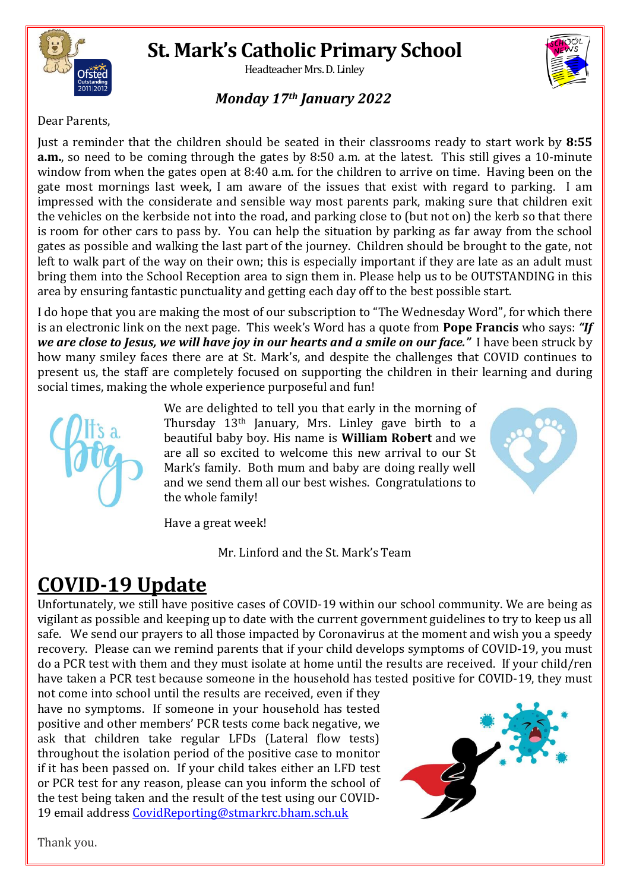

# **St. Mark's Catholic Primary School**

Headteacher Mrs. D. Linley

### *Monday 17th January 2022*

Dear Parents,

Just a reminder that the children should be seated in their classrooms ready to start work by **8:55 a.m.**, so need to be coming through the gates by 8:50 a.m. at the latest. This still gives a 10-minute window from when the gates open at 8:40 a.m. for the children to arrive on time. Having been on the gate most mornings last week, I am aware of the issues that exist with regard to parking. I am impressed with the considerate and sensible way most parents park, making sure that children exit the vehicles on the kerbside not into the road, and parking close to (but not on) the kerb so that there is room for other cars to pass by. You can help the situation by parking as far away from the school gates as possible and walking the last part of the journey. Children should be brought to the gate, not left to walk part of the way on their own; this is especially important if they are late as an adult must bring them into the School Reception area to sign them in. Please help us to be OUTSTANDING in this area by ensuring fantastic punctuality and getting each day off to the best possible start.

I do hope that you are making the most of our subscription to "The Wednesday Word", for which there is an electronic link on the next page. This week's Word has a quote from **Pope Francis** who says: *"If we are close to Jesus, we will have joy in our hearts and a smile on our face."* I have been struck by how many smiley faces there are at St. Mark's, and despite the challenges that COVID continues to present us, the staff are completely focused on supporting the children in their learning and during social times, making the whole experience purposeful and fun!



We are delighted to tell you that early in the morning of Thursday 13th January, Mrs. Linley gave birth to a beautiful baby boy. His name is **William Robert** and we are all so excited to welcome this new arrival to our St Mark's family. Both mum and baby are doing really well and we send them all our best wishes. Congratulations to the whole family!



Have a great week!

Mr. Linford and the St. Mark's Team

## **COVID-19 Update**

Unfortunately, we still have positive cases of COVID-19 within our school community. We are being as vigilant as possible and keeping up to date with the current government guidelines to try to keep us all safe. We send our prayers to all those impacted by Coronavirus at the moment and wish you a speedy recovery. Please can we remind parents that if your child develops symptoms of COVID-19, you must do a PCR test with them and they must isolate at home until the results are received. If your child/ren have taken a PCR test because someone in the household has tested positive for COVID-19, they must

not come into school until the results are received, even if they have no symptoms. If someone in your household has tested positive and other members' PCR tests come back negative, we ask that children take regular LFDs (Lateral flow tests) throughout the isolation period of the positive case to monitor if it has been passed on. If your child takes either an LFD test or PCR test for any reason, please can you inform the school of the test being taken and the result of the test using our COVID-19 email address [CovidReporting@stmarkrc.bham.sch.uk](mailto:CovidReporting@stmarkrc.bham.sch.uk)



Thank you.